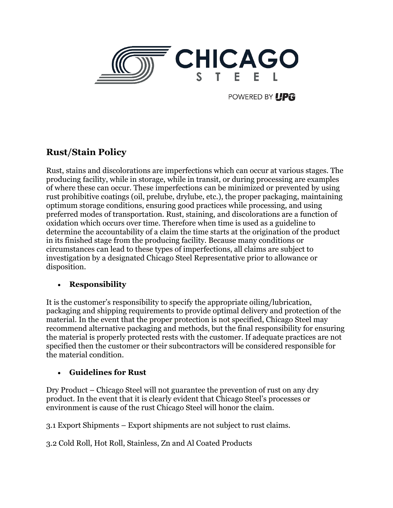

POWERED BY UPG

## **Rust/Stain Policy**

Rust, stains and discolorations are imperfections which can occur at various stages. The producing facility, while in storage, while in transit, or during processing are examples of where these can occur. These imperfections can be minimized or prevented by using rust prohibitive coatings (oil, prelube, drylube, etc.), the proper packaging, maintaining optimum storage conditions, ensuring good practices while processing, and using preferred modes of transportation. Rust, staining, and discolorations are a function of oxidation which occurs over time. Therefore when time is used as a guideline to determine the accountability of a claim the time starts at the origination of the product in its finished stage from the producing facility. Because many conditions or circumstances can lead to these types of imperfections, all claims are subject to investigation by a designated Chicago Steel Representative prior to allowance or disposition.

## • **Responsibility**

It is the customer's responsibility to specify the appropriate oiling/lubrication, packaging and shipping requirements to provide optimal delivery and protection of the material. In the event that the proper protection is not specified, Chicago Steel may recommend alternative packaging and methods, but the final responsibility for ensuring the material is properly protected rests with the customer. If adequate practices are not specified then the customer or their subcontractors will be considered responsible for the material condition.

## • **Guidelines for Rust**

Dry Product – Chicago Steel will not guarantee the prevention of rust on any dry product. In the event that it is clearly evident that Chicago Steel's processes or environment is cause of the rust Chicago Steel will honor the claim.

3.1 Export Shipments – Export shipments are not subject to rust claims.

3.2 Cold Roll, Hot Roll, Stainless, Zn and Al Coated Products